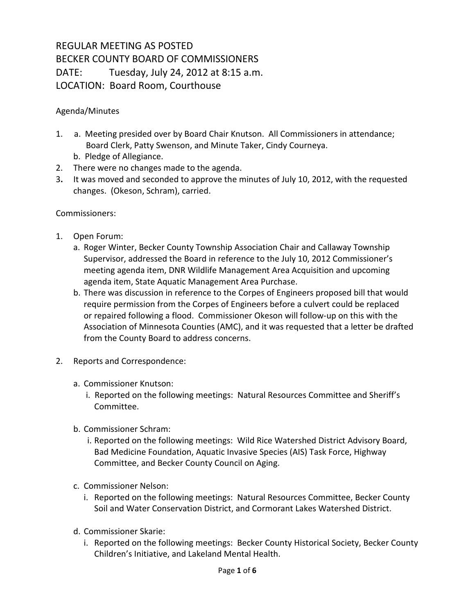## REGULAR MEETING AS POSTED BECKER COUNTY BOARD OF COMMISSIONERS DATE: Tuesday, July 24, 2012 at 8:15 a.m. LOCATION: Board Room, Courthouse

## Agenda/Minutes

- 1. a. Meeting presided over by Board Chair Knutson. All Commissioners in attendance; Board Clerk, Patty Swenson, and Minute Taker, Cindy Courneya.
	- b. Pledge of Allegiance.
- 2. There were no changes made to the agenda.
- 3**.** It was moved and seconded to approve the minutes of July 10, 2012, with the requested changes. (Okeson, Schram), carried.

Commissioners:

- 1. Open Forum:
	- a. Roger Winter, Becker County Township Association Chair and Callaway Township Supervisor, addressed the Board in reference to the July 10, 2012 Commissioner's meeting agenda item, DNR Wildlife Management Area Acquisition and upcoming agenda item, State Aquatic Management Area Purchase.
	- b. There was discussion in reference to the Corpes of Engineers proposed bill that would require permission from the Corpes of Engineers before a culvert could be replaced or repaired following a flood. Commissioner Okeson will follow-up on this with the Association of Minnesota Counties (AMC), and it was requested that a letter be drafted from the County Board to address concerns.
- 2. Reports and Correspondence:
	- a. Commissioner Knutson:
		- i. Reported on the following meetings: Natural Resources Committee and Sheriff's Committee.
	- b. Commissioner Schram:
		- i. Reported on the following meetings: Wild Rice Watershed District Advisory Board, Bad Medicine Foundation, Aquatic Invasive Species (AIS) Task Force, Highway Committee, and Becker County Council on Aging.
	- c. Commissioner Nelson:
		- i. Reported on the following meetings: Natural Resources Committee, Becker County Soil and Water Conservation District, and Cormorant Lakes Watershed District.
	- d. Commissioner Skarie:
		- i. Reported on the following meetings: Becker County Historical Society, Becker County Children's Initiative, and Lakeland Mental Health.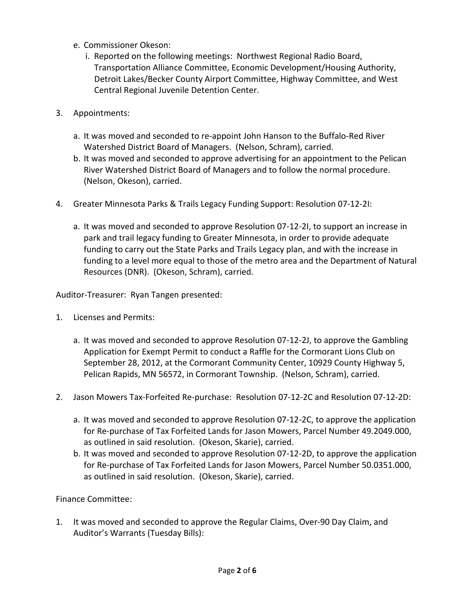- e. Commissioner Okeson:
	- i. Reported on the following meetings: Northwest Regional Radio Board, Transportation Alliance Committee, Economic Development/Housing Authority, Detroit Lakes/Becker County Airport Committee, Highway Committee, and West Central Regional Juvenile Detention Center.
- 3. Appointments:
	- a. It was moved and seconded to re-appoint John Hanson to the Buffalo-Red River Watershed District Board of Managers. (Nelson, Schram), carried.
	- b. It was moved and seconded to approve advertising for an appointment to the Pelican River Watershed District Board of Managers and to follow the normal procedure. (Nelson, Okeson), carried.
- 4. Greater Minnesota Parks & Trails Legacy Funding Support: Resolution 07-12-2I:
	- a. It was moved and seconded to approve Resolution 07-12-2I, to support an increase in park and trail legacy funding to Greater Minnesota, in order to provide adequate funding to carry out the State Parks and Trails Legacy plan, and with the increase in funding to a level more equal to those of the metro area and the Department of Natural Resources (DNR). (Okeson, Schram), carried.

Auditor-Treasurer: Ryan Tangen presented:

- 1. Licenses and Permits:
	- a. It was moved and seconded to approve Resolution 07-12-2J, to approve the Gambling Application for Exempt Permit to conduct a Raffle for the Cormorant Lions Club on September 28, 2012, at the Cormorant Community Center, 10929 County Highway 5, Pelican Rapids, MN 56572, in Cormorant Township. (Nelson, Schram), carried.
- 2. Jason Mowers Tax-Forfeited Re-purchase: Resolution 07-12-2C and Resolution 07-12-2D:
	- a. It was moved and seconded to approve Resolution 07-12-2C, to approve the application for Re-purchase of Tax Forfeited Lands for Jason Mowers, Parcel Number 49.2049.000, as outlined in said resolution. (Okeson, Skarie), carried.
	- b. It was moved and seconded to approve Resolution 07-12-2D, to approve the application for Re-purchase of Tax Forfeited Lands for Jason Mowers, Parcel Number 50.0351.000, as outlined in said resolution. (Okeson, Skarie), carried.

## Finance Committee:

1. It was moved and seconded to approve the Regular Claims, Over-90 Day Claim, and Auditor's Warrants (Tuesday Bills):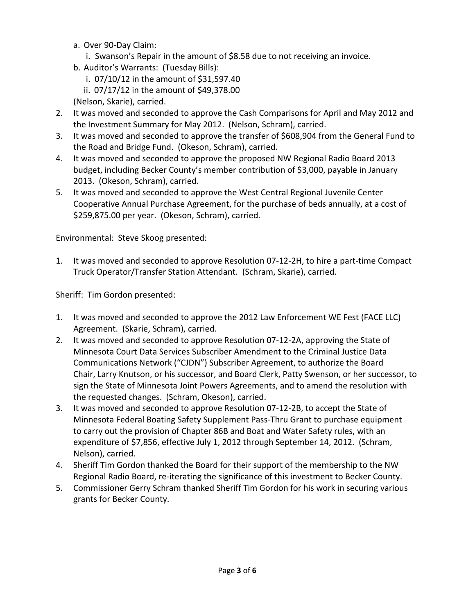- a. Over 90-Day Claim:
	- i. Swanson's Repair in the amount of \$8.58 due to not receiving an invoice.
- b. Auditor's Warrants: (Tuesday Bills):
	- i. 07/10/12 in the amount of \$31,597.40
	- ii. 07/17/12 in the amount of \$49,378.00
- (Nelson, Skarie), carried.
- 2. It was moved and seconded to approve the Cash Comparisons for April and May 2012 and the Investment Summary for May 2012. (Nelson, Schram), carried.
- 3. It was moved and seconded to approve the transfer of \$608,904 from the General Fund to the Road and Bridge Fund. (Okeson, Schram), carried.
- 4. It was moved and seconded to approve the proposed NW Regional Radio Board 2013 budget, including Becker County's member contribution of \$3,000, payable in January 2013. (Okeson, Schram), carried.
- 5. It was moved and seconded to approve the West Central Regional Juvenile Center Cooperative Annual Purchase Agreement, for the purchase of beds annually, at a cost of \$259,875.00 per year. (Okeson, Schram), carried.

Environmental: Steve Skoog presented:

1. It was moved and seconded to approve Resolution 07-12-2H, to hire a part-time Compact Truck Operator/Transfer Station Attendant. (Schram, Skarie), carried.

Sheriff: Tim Gordon presented:

- 1. It was moved and seconded to approve the 2012 Law Enforcement WE Fest (FACE LLC) Agreement. (Skarie, Schram), carried.
- 2. It was moved and seconded to approve Resolution 07-12-2A, approving the State of Minnesota Court Data Services Subscriber Amendment to the Criminal Justice Data Communications Network ("CJDN") Subscriber Agreement, to authorize the Board Chair, Larry Knutson, or his successor, and Board Clerk, Patty Swenson, or her successor, to sign the State of Minnesota Joint Powers Agreements, and to amend the resolution with the requested changes. (Schram, Okeson), carried.
- 3. It was moved and seconded to approve Resolution 07-12-2B, to accept the State of Minnesota Federal Boating Safety Supplement Pass-Thru Grant to purchase equipment to carry out the provision of Chapter 86B and Boat and Water Safety rules, with an expenditure of \$7,856, effective July 1, 2012 through September 14, 2012. (Schram, Nelson), carried.
- 4. Sheriff Tim Gordon thanked the Board for their support of the membership to the NW Regional Radio Board, re-iterating the significance of this investment to Becker County.
- 5. Commissioner Gerry Schram thanked Sheriff Tim Gordon for his work in securing various grants for Becker County.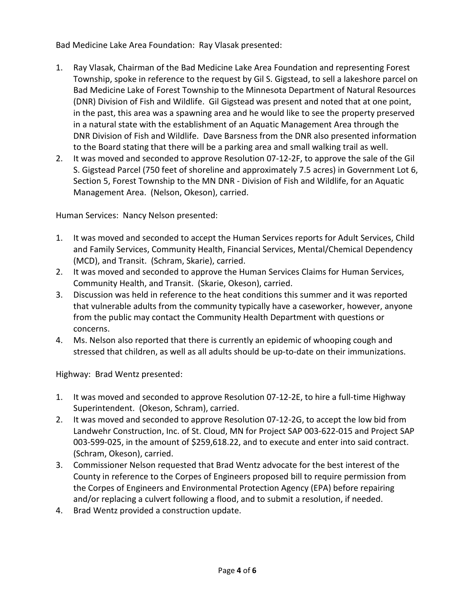Bad Medicine Lake Area Foundation: Ray Vlasak presented:

- 1. Ray Vlasak, Chairman of the Bad Medicine Lake Area Foundation and representing Forest Township, spoke in reference to the request by Gil S. Gigstead, to sell a lakeshore parcel on Bad Medicine Lake of Forest Township to the Minnesota Department of Natural Resources (DNR) Division of Fish and Wildlife. Gil Gigstead was present and noted that at one point, in the past, this area was a spawning area and he would like to see the property preserved in a natural state with the establishment of an Aquatic Management Area through the DNR Division of Fish and Wildlife. Dave Barsness from the DNR also presented information to the Board stating that there will be a parking area and small walking trail as well.
- 2. It was moved and seconded to approve Resolution 07-12-2F, to approve the sale of the Gil S. Gigstead Parcel (750 feet of shoreline and approximately 7.5 acres) in Government Lot 6, Section 5, Forest Township to the MN DNR - Division of Fish and Wildlife, for an Aquatic Management Area. (Nelson, Okeson), carried.

Human Services: Nancy Nelson presented:

- 1. It was moved and seconded to accept the Human Services reports for Adult Services, Child and Family Services, Community Health, Financial Services, Mental/Chemical Dependency (MCD), and Transit. (Schram, Skarie), carried.
- 2. It was moved and seconded to approve the Human Services Claims for Human Services, Community Health, and Transit. (Skarie, Okeson), carried.
- 3. Discussion was held in reference to the heat conditions this summer and it was reported that vulnerable adults from the community typically have a caseworker, however, anyone from the public may contact the Community Health Department with questions or concerns.
- 4. Ms. Nelson also reported that there is currently an epidemic of whooping cough and stressed that children, as well as all adults should be up-to-date on their immunizations.

Highway: Brad Wentz presented:

- 1. It was moved and seconded to approve Resolution 07-12-2E, to hire a full-time Highway Superintendent. (Okeson, Schram), carried.
- 2. It was moved and seconded to approve Resolution 07-12-2G, to accept the low bid from Landwehr Construction, Inc. of St. Cloud, MN for Project SAP 003-622-015 and Project SAP 003-599-025, in the amount of \$259,618.22, and to execute and enter into said contract. (Schram, Okeson), carried.
- 3. Commissioner Nelson requested that Brad Wentz advocate for the best interest of the County in reference to the Corpes of Engineers proposed bill to require permission from the Corpes of Engineers and Environmental Protection Agency (EPA) before repairing and/or replacing a culvert following a flood, and to submit a resolution, if needed.
- 4. Brad Wentz provided a construction update.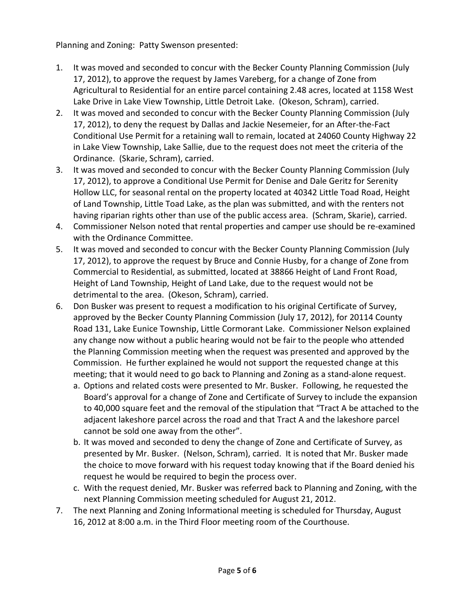Planning and Zoning: Patty Swenson presented:

- 1. It was moved and seconded to concur with the Becker County Planning Commission (July 17, 2012), to approve the request by James Vareberg, for a change of Zone from Agricultural to Residential for an entire parcel containing 2.48 acres, located at 1158 West Lake Drive in Lake View Township, Little Detroit Lake. (Okeson, Schram), carried.
- 2. It was moved and seconded to concur with the Becker County Planning Commission (July 17, 2012), to deny the request by Dallas and Jackie Nesemeier, for an After-the-Fact Conditional Use Permit for a retaining wall to remain, located at 24060 County Highway 22 in Lake View Township, Lake Sallie, due to the request does not meet the criteria of the Ordinance. (Skarie, Schram), carried.
- 3. It was moved and seconded to concur with the Becker County Planning Commission (July 17, 2012), to approve a Conditional Use Permit for Denise and Dale Geritz for Serenity Hollow LLC, for seasonal rental on the property located at 40342 Little Toad Road, Height of Land Township, Little Toad Lake, as the plan was submitted, and with the renters not having riparian rights other than use of the public access area. (Schram, Skarie), carried.
- 4. Commissioner Nelson noted that rental properties and camper use should be re-examined with the Ordinance Committee.
- 5. It was moved and seconded to concur with the Becker County Planning Commission (July 17, 2012), to approve the request by Bruce and Connie Husby, for a change of Zone from Commercial to Residential, as submitted, located at 38866 Height of Land Front Road, Height of Land Township, Height of Land Lake, due to the request would not be detrimental to the area. (Okeson, Schram), carried.
- 6. Don Busker was present to request a modification to his original Certificate of Survey, approved by the Becker County Planning Commission (July 17, 2012), for 20114 County Road 131, Lake Eunice Township, Little Cormorant Lake. Commissioner Nelson explained any change now without a public hearing would not be fair to the people who attended the Planning Commission meeting when the request was presented and approved by the Commission. He further explained he would not support the requested change at this meeting; that it would need to go back to Planning and Zoning as a stand-alone request.
	- a. Options and related costs were presented to Mr. Busker. Following, he requested the Board's approval for a change of Zone and Certificate of Survey to include the expansion to 40,000 square feet and the removal of the stipulation that "Tract A be attached to the adjacent lakeshore parcel across the road and that Tract A and the lakeshore parcel cannot be sold one away from the other".
	- b. It was moved and seconded to deny the change of Zone and Certificate of Survey, as presented by Mr. Busker. (Nelson, Schram), carried. It is noted that Mr. Busker made the choice to move forward with his request today knowing that if the Board denied his request he would be required to begin the process over.
	- c. With the request denied, Mr. Busker was referred back to Planning and Zoning, with the next Planning Commission meeting scheduled for August 21, 2012.
- 7. The next Planning and Zoning Informational meeting is scheduled for Thursday, August 16, 2012 at 8:00 a.m. in the Third Floor meeting room of the Courthouse.